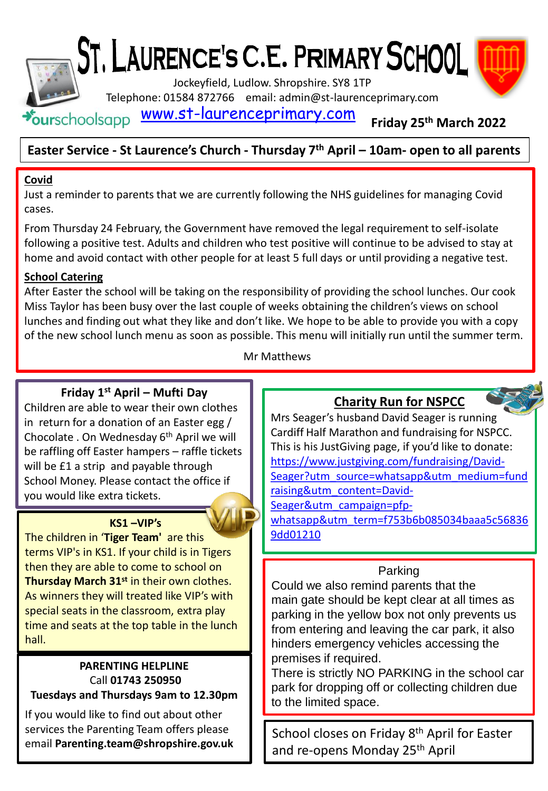# ST. LAURENCE'S C.E. PRIMARY SCHOOL

Jockeyfield, Ludlow. Shropshire. SY8 1TP

Telephone: 01584 872766 email: admin@st-laurenceprimary.com

[www.st-laurenceprimary.com](http://www.st-laurenceprimary.com/)  $\star$ ourschoolsapp

### **Friday 25th March 2022**

### **Easter Service - St Laurence's Church - Thursday 7th April – 10am- open to all parents**

### **Covid**

Just a reminder to parents that we are currently following the NHS guidelines for managing Covid cases.

From Thursday 24 February, the Government have removed the legal requirement to self-isolate following a positive test. Adults and children who test positive will continue to be advised to stay at home and avoid contact with other people for at least 5 full days or until providing a negative test.

### **School Catering**

After Easter the school will be taking on the responsibility of providing the school lunches. Our cook Miss Taylor has been busy over the last couple of weeks obtaining the children's views on school lunches and finding out what they like and don't like. We hope to be able to provide you with a copy of the new school lunch menu as soon as possible. This menu will initially run until the summer term.

### Mr Matthews

### **Friday 1st April – Mufti Day**

Children are able to wear their own clothes in return for a donation of an Easter egg / Chocolate . On Wednesday 6<sup>th</sup> April we will be raffling off Easter hampers – raffle tickets will be £1 a strip and payable through School Money. Please contact the office if you would like extra tickets.

### **KS1 –VIP's**

The children in '**Tiger Team'** are this terms VIP's in KS1. If your child is in Tigers then they are able to come to school on **Thursday March 31st** in their own clothes. As winners they will treated like VIP's with special seats in the classroom, extra play time and seats at the top table in the lunch hall.

#### **PARENTING HELPLINE** Call **01743 250950 Tuesdays and Thursdays 9am to 12.30pm**

If you would like to find out about other services the Parenting Team offers please email **Parenting.team@shropshire.gov.uk** 

### **Charity Run for NSPCC**

Mrs Seager's husband David Seager is running Cardiff Half Marathon and fundraising for NSPCC. This is his JustGiving page, if you'd like to donate: https://www.justgiving.com/fundraising/David-Seager?utm\_source=whatsapp&utm\_medium=fund raising&utm\_content=David-Seager&utm\_campaign=pfp-

[whatsapp&utm\\_term=f753b6b085034baaa5c56836](https://www.justgiving.com/fundraising/David-Seager?utm_source=whatsapp&utm_medium=fundraising&utm_content=David-Seager&utm_campaign=pfp-whatsapp&utm_term=f753b6b085034baaa5c568369dd01210) 9dd01210

### Parking

Could we also remind parents that the main gate should be kept clear at all times as parking in the yellow box not only prevents us from entering and leaving the car park, it also hinders emergency vehicles accessing the premises if required.

There is strictly NO PARKING in the school car park for dropping off or collecting children due to the limited space.

School closes on Friday 8<sup>th</sup> April for Easter and re-opens Monday 25th April

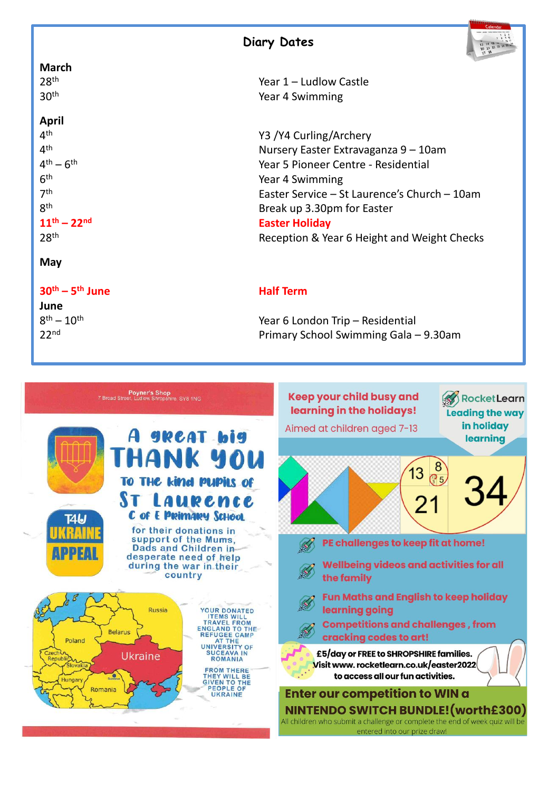



#### **April**

4<sup>th</sup>  $4<sup>th</sup>$  $4<sup>th</sup> - 6$  $6<sup>th</sup>$  $7<sup>th</sup>$ **gth** 

**May**

**30th – 5**

**June**  $8^{th} - 10^{th}$ 

28th Year 1 – Ludlow Castle Year 4 Swimming

Y3 /Y4 Curling/Archery Nursery Easter Extravaganza 9 – 10am Year 5 Pioneer Centre - Residential Year 4 Swimming Easter Service – St Laurence's Church – 10am Break up 3.30pm for Easter **11th – 22nd Easter Holiday** 28<sup>th</sup> Reception & Year 6 Height and Weight Checks

#### **Half Term**

Year 6 London Trip – Residential 22nd Primary School Swimming Gala – 9.30am